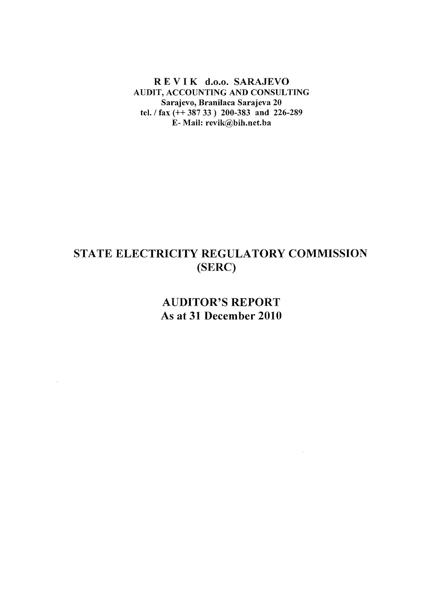REVIK d.o.o. SARAJEVO AUDIT, ACCOUNTING AND CONSULTING Sarajevo, Branilaca Sarajeva 20 tel. I fax (++ 387 33) 200-383 and 226-289 E-Mail: revik@bih.net.ba

# STATE ELECTRICITY REGULATORY COMMISSION (SERC)

# AUDITOR'S REPORT As at 31 December 2010

 $\sim$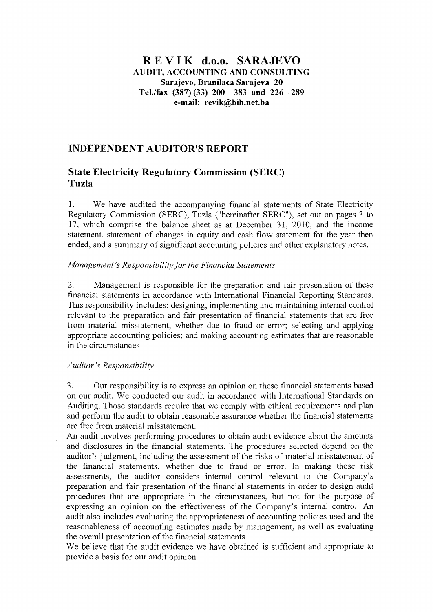## REVIK d.o.o. SARAJEVO AUDIT, ACCOUNTING AND CONSULTING Sarajevo, Branilaca Sarajeva 20 Tel./fax  $(387) (33) 200 - 383$  and  $226 - 289$ e-mail: revik@bih.net.ba

# INDEPENDENT AUDITOR'S REPORT

# State Electricity Regulatory Commission (SERC) Tuzla

1. We have audited the accompanying financial statements of State Electricity Regulatory Commission (SERC), Tuzla ("hereinafter SERC"), set out on pages 3 to 17, which comprise the balance sheet as at December 31, 2010, and the income statement, statement of changes in equity and cash flow statement for the year then ended, and a summary of significant accounting policies and other explanatory notes.

### *Management's Responsibility for the Financial Statements*

 $2.$ Management is responsible for the preparation and fair presentation of these financial statements in accordance with International Financial Reporting Standards. This responsibility includes: designing, implementing and maintaining internal control relevant to the preparation and fair presentation of financial statements that are free from material misstatement, whether due to fraud or error; selecting and applying appropriate accounting policies; and making accounting estimates that are reasonable in the circumstances.

### *Auditor's Responsibility*

3. Our responsibility is to express an opinion on these financial statements based on our audit. We conducted our audit in accordance with International Standards on Auditing. Those standards require that we comply with ethical requirements and plan and perform the audit to obtain reasonable assurance whether the financial statements are free from material misstatement

An audit involves performing procedures to obtain audit evidence about the amounts and disclosures in the financial statements. The procedures selected depend on the auditor's judgment, including the assessment of the risks of material misstatement of the financial statements, whether due to fraud or error. In making those risk assessments, the auditor considers internal control relevant to the Company's preparation and fair presentation of the financial statements in order to design audit procedures that are appropriate in the circumstances, but not for the purpose of expressing an opinion on the effectiveness of the Company's internal control. An audit also includes evaluating the appropriateness of accounting policies used and the reasonableness of accounting estimates made by management, as well as evaluating the overall presentation of the financial statements.

We believe that the audit evidence we have obtained is sufficient and appropriate to provide a basis for our audit opinion.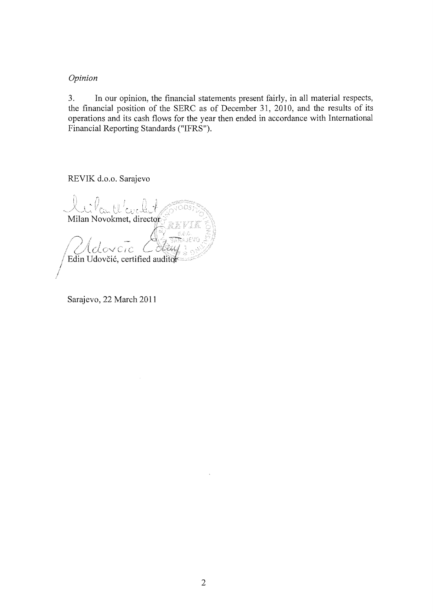## *Opinion*

3. In our opinion, the financial statements present fairly, in all material respects, the financial position of the SERC as of December 31, 2010, and the results of its operations and its cash flows for the year then ended in accordance with International Financial Reporting Standards ("IFRS ").

REVIK d.o.o. Sarajevo

l il cui l'evelant i~) / / Adovci  $/$  Edin Udovčić, certified a ! , !

Sarajevo, 22 March 2011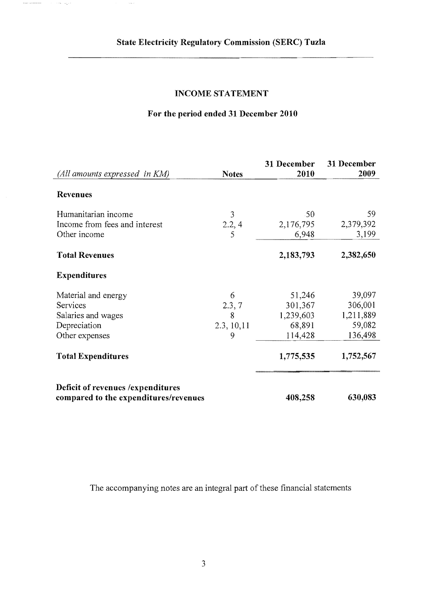# **State Electricity Regulatory Commission (SERC) Tuzla**

 $\label{eq:1} \begin{aligned} \text{Hence, the model is a nontrivial and}\\ \end{aligned}$ 

 $\sim$  $\sigma_{\chi}$ 

# **INCOME STATEMENT**

## **For the period ended 31 December 2010**

|                                                                             |              | 31 December | 31 December |
|-----------------------------------------------------------------------------|--------------|-------------|-------------|
| (All amounts expressed in KM)                                               | <b>Notes</b> | 2010        | 2009        |
| <b>Revenues</b>                                                             |              |             |             |
| Humanitarian income                                                         | 3            | .50         | 59          |
| Income from fees and interest                                               | 2.2, 4       | 2,176,795   | 2,379,392   |
| Other income                                                                | 5            | 6,948       | 3,199       |
| <b>Total Revenues</b>                                                       |              | 2,183,793   | 2,382,650   |
| <b>Expenditures</b>                                                         |              |             |             |
| Material and energy                                                         | 6            | 51,246      | 39,097      |
| Services                                                                    | 2.3, 7       | 301,367     | 306,001     |
| Salaries and wages                                                          | 8            | 1,239,603   | 1,211,889   |
| Depreciation                                                                | 2.3, 10, 11  | 68,891      | 59,082      |
| Other expenses                                                              | 9            | 114,428     | 136,498     |
| <b>Total Expenditures</b>                                                   |              | 1,775,535   | 1,752,567   |
| Deficit of revenues / expenditures<br>compared to the expenditures/revenues |              | 408,258     | 630,083     |

The accompanying notes are an integral part of these financial statements